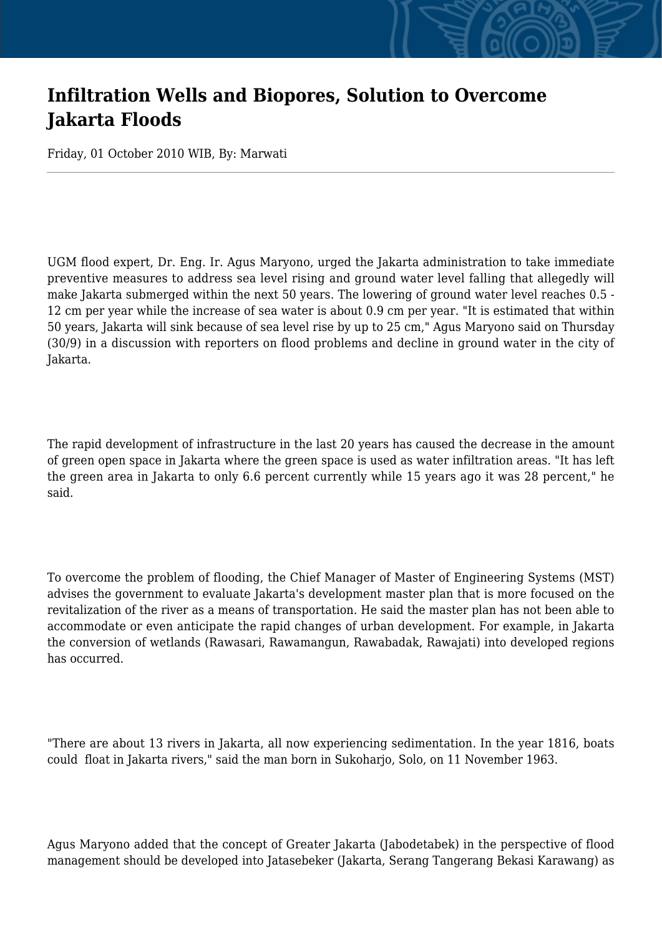## **Infiltration Wells and Biopores, Solution to Overcome Jakarta Floods**

Friday, 01 October 2010 WIB, By: Marwati

UGM flood expert, Dr. Eng. Ir. Agus Maryono, urged the Jakarta administration to take immediate preventive measures to address sea level rising and ground water level falling that allegedly will make Jakarta submerged within the next 50 years. The lowering of ground water level reaches 0.5 - 12 cm per year while the increase of sea water is about 0.9 cm per year. "It is estimated that within 50 years, Jakarta will sink because of sea level rise by up to 25 cm," Agus Maryono said on Thursday (30/9) in a discussion with reporters on flood problems and decline in ground water in the city of Jakarta.

The rapid development of infrastructure in the last 20 years has caused the decrease in the amount of green open space in Jakarta where the green space is used as water infiltration areas. "It has left the green area in Jakarta to only 6.6 percent currently while 15 years ago it was 28 percent," he said.

To overcome the problem of flooding, the Chief Manager of Master of Engineering Systems (MST) advises the government to evaluate Jakarta's development master plan that is more focused on the revitalization of the river as a means of transportation. He said the master plan has not been able to accommodate or even anticipate the rapid changes of urban development. For example, in Jakarta the conversion of wetlands (Rawasari, Rawamangun, Rawabadak, Rawajati) into developed regions has occurred.

"There are about 13 rivers in Jakarta, all now experiencing sedimentation. In the year 1816, boats could float in Jakarta rivers," said the man born in Sukoharjo, Solo, on 11 November 1963.

Agus Maryono added that the concept of Greater Jakarta (Jabodetabek) in the perspective of flood management should be developed into Jatasebeker (Jakarta, Serang Tangerang Bekasi Karawang) as